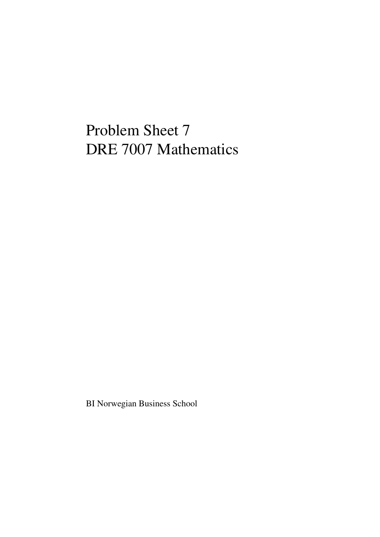## Problem Sheet 7 DRE 7007 Mathematics

BI Norwegian Business School